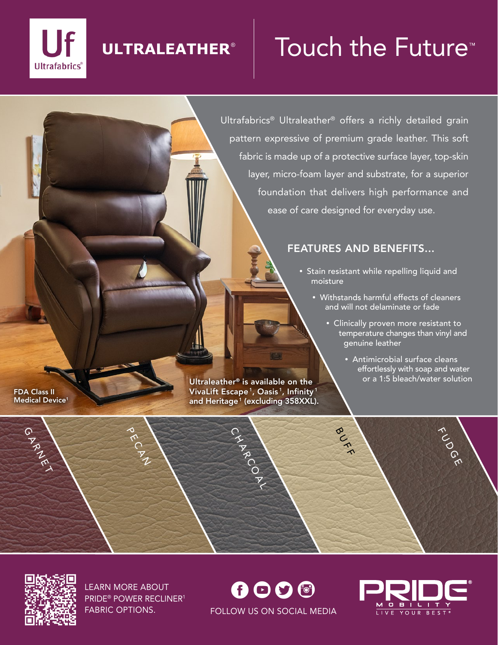

## **ULTRALEATHER**®

# Touch the Future<sup>™</sup>

Ultrafabrics® Ultraleather® offers a richly detailed grain pattern expressive of premium grade leather. This soft fabric is made up of a protective surface layer, top-skin layer, micro-foam layer and substrate, for a superior foundation that delivers high performance and ease of care designed for everyday use.

### FEATURES AND BENEFITS...

BUFF

- Stain resistant while repelling liquid and moisture
	- Withstands harmful effects of cleaners and will not delaminate or fade
		- Clinically proven more resistant to temperature changes than vinyl and genuine leather
			- Antimicrobial surface cleans effortlessly with soap and water or a 1:5 bleach/water solution

FUDGE

FDA Class II Medical Device<sup>1</sup>

GARNET

Ultraleather® is available on the VivaLift Escape<sup>1</sup>, Oasis<sup>1</sup>, Infinity<sup>1</sup> and Heritage<sup>1</sup> (excluding 358XXL).

CHARCOAL



LEARN MORE ABOUT LEARN MORE ABOUT<br>PRIDE® POWER RECLINER<sup>1</sup>

PECAN

FABRIC OPTIONS. **FOLLOW US ON SOCIAL MEDIA**